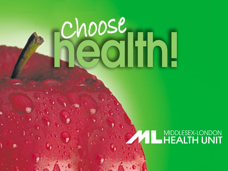# choose<br>1000 III 1

# **AND MIDDLESEX-LONDON**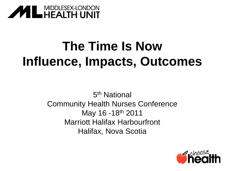

## **The Time Is Now Influence, Impacts, Outcomes**

5<sup>th</sup> National Community Health Nurses Conference May 16 -18th 2011 Marriott Halifax Harbourfront Halifax, Nova Scotia

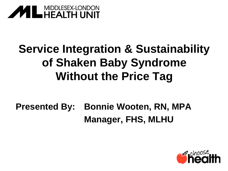

### **Service Integration & Sustainability of Shaken Baby Syndrome Without the Price Tag**

**Presented By: Bonnie Wooten, RN, MPA Manager, FHS, MLHU**

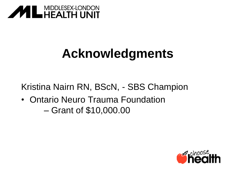

## **Acknowledgments**

Kristina Nairn RN, BScN, - SBS Champion

• Ontario Neuro Trauma Foundation – Grant of \$10,000.00

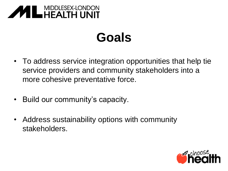# **MIDDLESEX-LONDON**<br>HEALTH UNIT

## **Goals**

- To address service integration opportunities that help tie service providers and community stakeholders into a more cohesive preventative force.
- Build our community's capacity.
- Address sustainability options with community stakeholders.

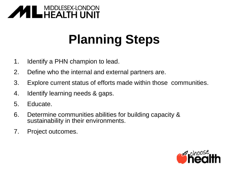

# **Planning Steps**

- 1. Identify a PHN champion to lead.
- 2. Define who the internal and external partners are.
- 3. Explore current status of efforts made within those communities.
- 4. Identify learning needs & gaps.
- 5. Educate.
- 6. Determine communities abilities for building capacity & sustainability in their environments.
- 7. Project outcomes.

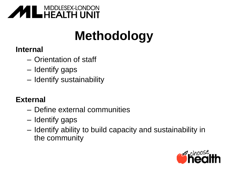

# **Methodology**

#### **Internal**

- Orientation of staff
- Identify gaps
- Identify sustainability

#### **External**

- Define external communities
- Identify gaps
- Identify ability to build capacity and sustainability in the community

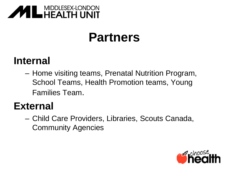

## **Partners**

#### **Internal**

– Home visiting teams, Prenatal Nutrition Program, School Teams, Health Promotion teams, Young Families Team.

#### **External**

– Child Care Providers, Libraries, Scouts Canada, Community Agencies

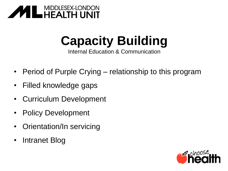

# **Capacity Building**

Internal Education & Communication

- Period of Purple Crying relationship to this program
- Filled knowledge gaps
- Curriculum Development
- Policy Development
- Orientation/In servicing
- Intranet Blog

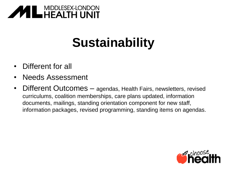# **ANDDLESEX-LONDON**

# **Sustainability**

- Different for all
- Needs Assessment
- Different Outcomes agendas, Health Fairs, newsletters, revised curriculums, coalition memberships, care plans updated, information documents, mailings, standing orientation component for new staff, information packages, revised programming, standing items on agendas.

![](_page_9_Picture_5.jpeg)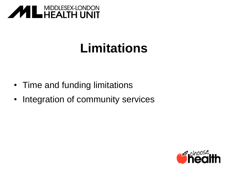![](_page_10_Picture_0.jpeg)

## **Limitations**

- Time and funding limitations
- Integration of community services

![](_page_10_Picture_4.jpeg)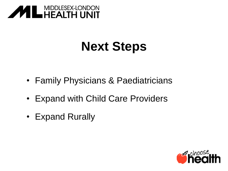![](_page_11_Picture_0.jpeg)

## **Next Steps**

- Family Physicians & Paediatricians
- Expand with Child Care Providers
- Expand Rurally

![](_page_11_Picture_5.jpeg)